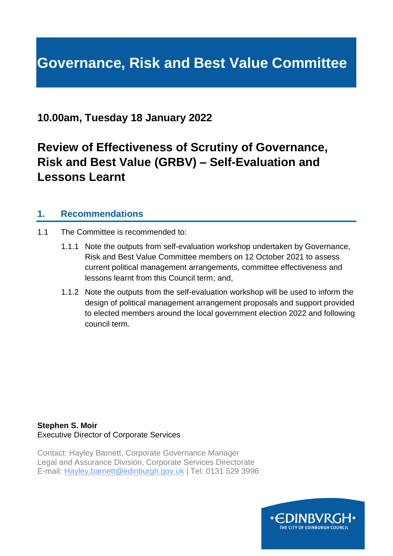# **Governance, Risk and Best Value Committee**

# **10.00am, Tuesday 18 January 2022**

# **Review of Effectiveness of Scrutiny of Governance, Risk and Best Value (GRBV) – Self-Evaluation and Lessons Learnt**

## **1. Recommendations**

- 1.1 The Committee is recommended to:
	- 1.1.1 Note the outputs from self-evaluation workshop undertaken by Governance, Risk and Best Value Committee members on 12 October 2021 to assess current political management arrangements, committee effectiveness and lessons learnt from this Council term; and,
	- 1.1.2 Note the outputs from the self-evaluation workshop will be used to inform the design of political management arrangement proposals and support provided to elected members around the local government election 2022 and following council term.

**Stephen S. Moir** Executive Director of Corporate Services

Contact: Hayley Barnett, Corporate Governance Manager Legal and Assurance Division, Corporate Services Directorate E-mail: Hayley.barnett@edinburgh.gov.uk | Tel: 0131 529 3996

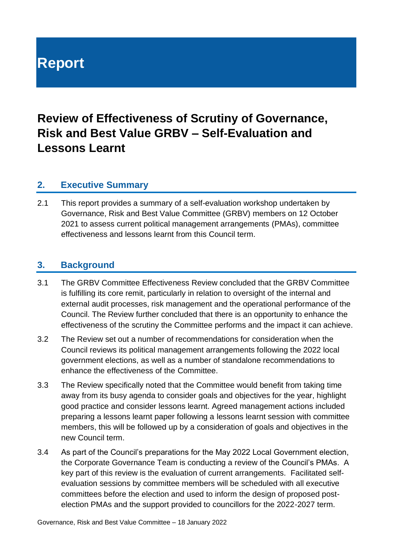# **Report**

# **Review of Effectiveness of Scrutiny of Governance, Risk and Best Value GRBV – Self-Evaluation and Lessons Learnt**

#### **2. Executive Summary**

2.1 This report provides a summary of a self-evaluation workshop undertaken by Governance, Risk and Best Value Committee (GRBV) members on 12 October 2021 to assess current political management arrangements (PMAs), committee effectiveness and lessons learnt from this Council term.

## **3. Background**

- 3.1 The GRBV Committee Effectiveness Review concluded that the GRBV Committee is fulfilling its core remit, particularly in relation to oversight of the internal and external audit processes, risk management and the operational performance of the Council. The Review further concluded that there is an opportunity to enhance the effectiveness of the scrutiny the Committee performs and the impact it can achieve.
- 3.2 The Review set out a number of recommendations for consideration when the Council reviews its political management arrangements following the 2022 local government elections, as well as a number of standalone recommendations to enhance the effectiveness of the Committee.
- 3.3 The Review specifically noted that the Committee would benefit from taking time away from its busy agenda to consider goals and objectives for the year, highlight good practice and consider lessons learnt. Agreed management actions included preparing a lessons learnt paper following a lessons learnt session with committee members, this will be followed up by a consideration of goals and objectives in the new Council term.
- 3.4 As part of the Council's preparations for the May 2022 Local Government election, the Corporate Governance Team is conducting a review of the Council's PMAs. A key part of this review is the evaluation of current arrangements. Facilitated selfevaluation sessions by committee members will be scheduled with all executive committees before the election and used to inform the design of proposed postelection PMAs and the support provided to councillors for the 2022-2027 term.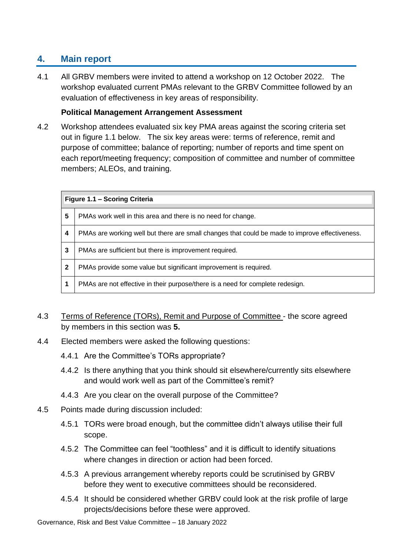# **4. Main report**

4.1 All GRBV members were invited to attend a workshop on 12 October 2022. The workshop evaluated current PMAs relevant to the GRBV Committee followed by an evaluation of effectiveness in key areas of responsibility.

#### **Political Management Arrangement Assessment**

4.2 Workshop attendees evaluated six key PMA areas against the scoring criteria set out in figure 1.1 below. The six key areas were: terms of reference, remit and purpose of committee; balance of reporting; number of reports and time spent on each report/meeting frequency; composition of committee and number of committee members; ALEOs, and training.

| Figure 1.1 - Scoring Criteria |                                                                                                |
|-------------------------------|------------------------------------------------------------------------------------------------|
| 5                             | PMAs work well in this area and there is no need for change.                                   |
| 4                             | PMAs are working well but there are small changes that could be made to improve effectiveness. |
| 3                             | PMAs are sufficient but there is improvement required.                                         |
| $\mathbf{2}$                  | PMAs provide some value but significant improvement is required.                               |
|                               | PMAs are not effective in their purpose/there is a need for complete redesign.                 |

- 4.3 Terms of Reference (TORs), Remit and Purpose of Committee the score agreed by members in this section was **5.**
- 4.4 Elected members were asked the following questions:
	- 4.4.1 Are the Committee's TORs appropriate?
	- 4.4.2 Is there anything that you think should sit elsewhere/currently sits elsewhere and would work well as part of the Committee's remit?
	- 4.4.3 Are you clear on the overall purpose of the Committee?
- 4.5 Points made during discussion included:
	- 4.5.1 TORs were broad enough, but the committee didn't always utilise their full scope.
	- 4.5.2 The Committee can feel "toothless" and it is difficult to identify situations where changes in direction or action had been forced.
	- 4.5.3 A previous arrangement whereby reports could be scrutinised by GRBV before they went to executive committees should be reconsidered.
	- 4.5.4 It should be considered whether GRBV could look at the risk profile of large projects/decisions before these were approved.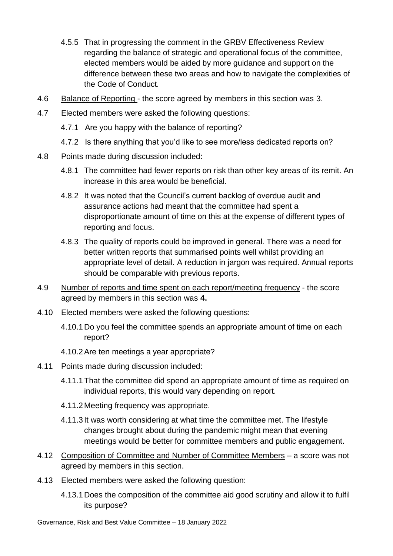- 4.5.5 That in progressing the comment in the GRBV Effectiveness Review regarding the balance of strategic and operational focus of the committee, elected members would be aided by more guidance and support on the difference between these two areas and how to navigate the complexities of the Code of Conduct.
- 4.6 Balance of Reporting the score agreed by members in this section was 3.
- 4.7 Elected members were asked the following questions:
	- 4.7.1 Are you happy with the balance of reporting?
	- 4.7.2 Is there anything that you'd like to see more/less dedicated reports on?
- 4.8 Points made during discussion included:
	- 4.8.1 The committee had fewer reports on risk than other key areas of its remit. An increase in this area would be beneficial.
	- 4.8.2 It was noted that the Council's current backlog of overdue audit and assurance actions had meant that the committee had spent a disproportionate amount of time on this at the expense of different types of reporting and focus.
	- 4.8.3 The quality of reports could be improved in general. There was a need for better written reports that summarised points well whilst providing an appropriate level of detail. A reduction in jargon was required. Annual reports should be comparable with previous reports.
- 4.9 Number of reports and time spent on each report/meeting frequency the score agreed by members in this section was **4.**
- 4.10 Elected members were asked the following questions:
	- 4.10.1 Do you feel the committee spends an appropriate amount of time on each report?
	- 4.10.2Are ten meetings a year appropriate?
- 4.11 Points made during discussion included:
	- 4.11.1That the committee did spend an appropriate amount of time as required on individual reports, this would vary depending on report.
	- 4.11.2 Meeting frequency was appropriate.
	- 4.11.3 It was worth considering at what time the committee met. The lifestyle changes brought about during the pandemic might mean that evening meetings would be better for committee members and public engagement.
- 4.12 Composition of Committee and Number of Committee Members a score was not agreed by members in this section.
- 4.13 Elected members were asked the following question:
	- 4.13.1 Does the composition of the committee aid good scrutiny and allow it to fulfil its purpose?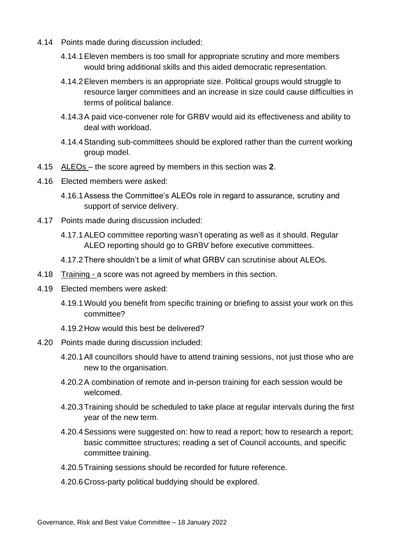- 4.14 Points made during discussion included:
	- 4.14.1Eleven members is too small for appropriate scrutiny and more members would bring additional skills and this aided democratic representation.
	- 4.14.2Eleven members is an appropriate size. Political groups would struggle to resource larger committees and an increase in size could cause difficulties in terms of political balance.
	- 4.14.3A paid vice-convener role for GRBV would aid its effectiveness and ability to deal with workload.
	- 4.14.4Standing sub-committees should be explored rather than the current working group model.
- 4.15 ALEOs the score agreed by members in this section was **2**.
- 4.16 Elected members were asked:
	- 4.16.1Assess the Committee's ALEOs role in regard to assurance, scrutiny and support of service delivery.
- 4.17 Points made during discussion included:
	- 4.17.1ALEO committee reporting wasn't operating as well as it should. Regular ALEO reporting should go to GRBV before executive committees.
	- 4.17.2There shouldn't be a limit of what GRBV can scrutinise about ALEOs.
- 4.18 Training a score was not agreed by members in this section.
- 4.19 Elected members were asked:
	- 4.19.1Would you benefit from specific training or briefing to assist your work on this committee?
	- 4.19.2 How would this best be delivered?
- 4.20 Points made during discussion included:
	- 4.20.1All councillors should have to attend training sessions, not just those who are new to the organisation.
	- 4.20.2A combination of remote and in-person training for each session would be welcomed.
	- 4.20.3Training should be scheduled to take place at regular intervals during the first year of the new term.
	- 4.20.4Sessions were suggested on: how to read a report; how to research a report; basic committee structures; reading a set of Council accounts, and specific committee training.
	- 4.20.5Training sessions should be recorded for future reference.
	- 4.20.6 Cross-party political buddying should be explored.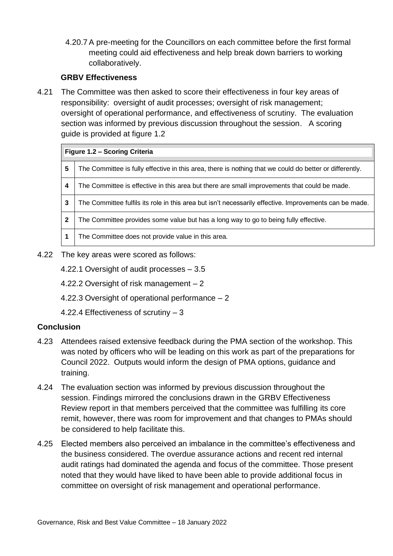4.20.7 A pre-meeting for the Councillors on each committee before the first formal meeting could aid effectiveness and help break down barriers to working collaboratively.

#### **GRBV Effectiveness**

4.21 The Committee was then asked to score their effectiveness in four key areas of responsibility: oversight of audit processes; oversight of risk management; oversight of operational performance, and effectiveness of scrutiny. The evaluation section was informed by previous discussion throughout the session. A scoring guide is provided at figure 1.2

| Figure 1.2 - Scoring Criteria |                                                                                                         |
|-------------------------------|---------------------------------------------------------------------------------------------------------|
| 5                             | The Committee is fully effective in this area, there is nothing that we could do better or differently. |
| 4                             | The Committee is effective in this area but there are small improvements that could be made.            |
| 3                             | The Committee fulfils its role in this area but isn't necessarily effective. Improvements can be made.  |
| $\mathbf 2$                   | The Committee provides some value but has a long way to go to being fully effective.                    |
|                               | The Committee does not provide value in this area.                                                      |

- 4.22 The key areas were scored as follows:
	- 4.22.1 Oversight of audit processes 3.5
	- 4.22.2 Oversight of risk management 2
	- 4.22.3 Oversight of operational performance 2
	- 4.22.4 Effectiveness of scrutiny 3

#### **Conclusion**

- 4.23 Attendees raised extensive feedback during the PMA section of the workshop. This was noted by officers who will be leading on this work as part of the preparations for Council 2022. Outputs would inform the design of PMA options, guidance and training.
- 4.24 The evaluation section was informed by previous discussion throughout the session. Findings mirrored the conclusions drawn in the GRBV Effectiveness Review report in that members perceived that the committee was fulfilling its core remit, however, there was room for improvement and that changes to PMAs should be considered to help facilitate this.
- 4.25 Elected members also perceived an imbalance in the committee's effectiveness and the business considered. The overdue assurance actions and recent red internal audit ratings had dominated the agenda and focus of the committee. Those present noted that they would have liked to have been able to provide additional focus in committee on oversight of risk management and operational performance.